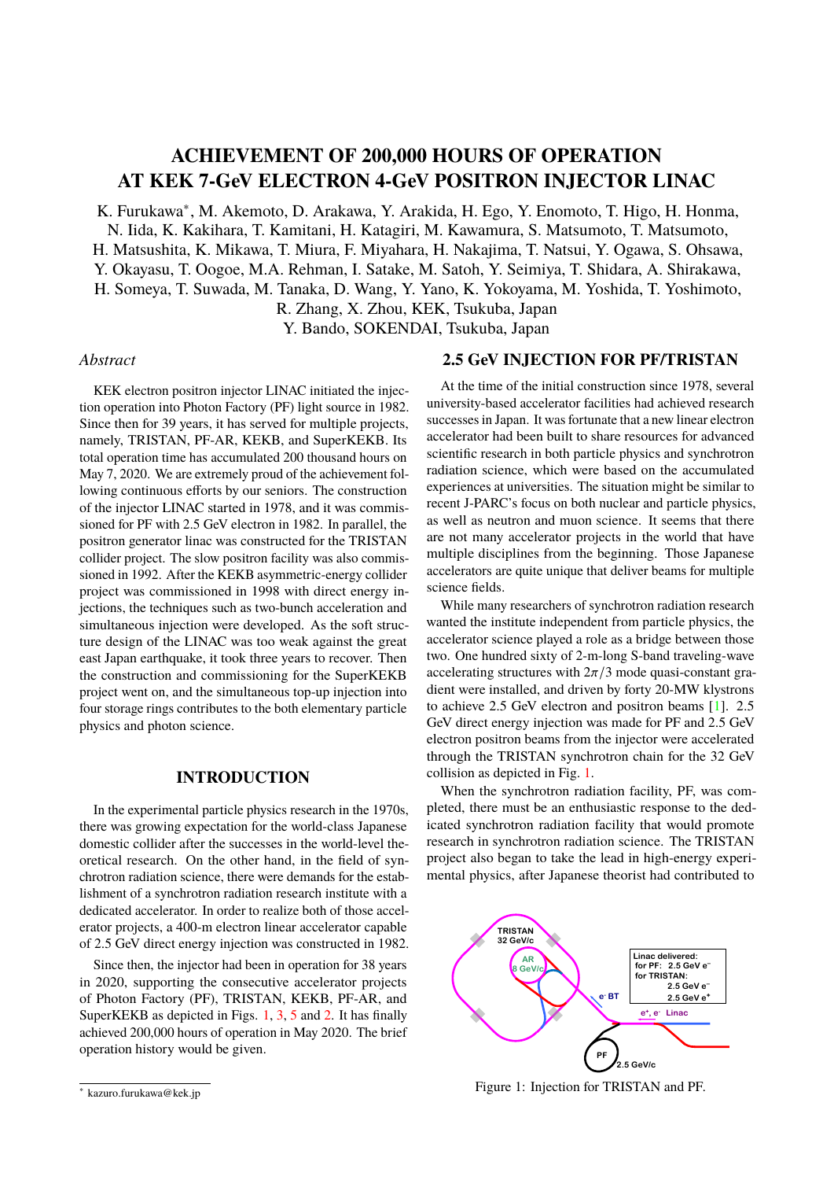# **ACHIEVEMENT OF 200,000 HOURS OF OPERATION AT KEK 7-GeV ELECTRON 4-GeV POSITRON INJECTOR LINAC**

K. Furukawa<sup>∗</sup>, M. Akemoto, D. Arakawa, Y. Arakida, H. Ego, Y. Enomoto, T. Higo, H. Honma, N. Iida, K. Kakihara, T. Kamitani, H. Katagiri, M. Kawamura, S. Matsumoto, T. Matsumoto, H. Matsushita, K. Mikawa, T. Miura, F. Miyahara, H. Nakajima, T. Natsui, Y. Ogawa, S. Ohsawa, Y. Okayasu, T. Oogoe, M.A. Rehman, I. Satake, M. Satoh, Y. Seimiya, T. Shidara, A. Shirakawa, H. Someya, T. Suwada, M. Tanaka, D. Wang, Y. Yano, K. Yokoyama, M. Yoshida, T. Yoshimoto,

R. Zhang, X. Zhou, KEK, Tsukuba, Japan

Y. Bando, SOKENDAI, Tsukuba, Japan

#### *Abstract*

KEK electron positron injector LINAC initiated the injection operation into Photon Factory (PF) light source in 1982. Since then for 39 years, it has served for multiple projects, namely, TRISTAN, PF-AR, KEKB, and SuperKEKB. Its total operation time has accumulated 200 thousand hours on May 7, 2020. We are extremely proud of the achievement following continuous efforts by our seniors. The construction of the injector LINAC started in 1978, and it was commissioned for PF with 2.5 GeV electron in 1982. In parallel, the positron generator linac was constructed for the TRISTAN collider project. The slow positron facility was also commissioned in 1992. After the KEKB asymmetric-energy collider project was commissioned in 1998 with direct energy injections, the techniques such as two-bunch acceleration and simultaneous injection were developed. As the soft structure design of the LINAC was too weak against the great east Japan earthquake, it took three years to recover. Then the construction and commissioning for the SuperKEKB project went on, and the simultaneous top-up injection into four storage rings contributes to the both elementary particle physics and photon science.

### **INTRODUCTION**

In the experimental particle physics research in the 1970s, there was growing expectation for the world-class Japanese domestic collider after the successes in the world-level theoretical research. On the other hand, in the field of synchrotron radiation science, there were demands for the establishment of a synchrotron radiation research institute with a dedicated accelerator. In order to realize both of those accelerator projects, a 400-m electron linear accelerator capable of 2.5 GeV direct energy injection was constructed in 1982.

Since then, the injector had been in operation for 38 years in 2020, supporting the consecutive accelerator projects of Photon Factory (PF), TRISTAN, KEKB, PF-AR, and SuperKEKB as depicted in Figs. [1,](#page-0-0) [3,](#page-1-0) [5](#page-2-0) and [2.](#page-1-1) It has finally achieved 200,000 hours of operation in May 2020. The brief operation history would be given.

## **2.5 GeV INJECTION FOR PF/TRISTAN**

At the time of the initial construction since 1978, several university-based accelerator facilities had achieved research successes in Japan. It was fortunate that a new linear electron accelerator had been built to share resources for advanced scientific research in both particle physics and synchrotron radiation science, which were based on the accumulated experiences at universities. The situation might be similar to recent J-PARC's focus on both nuclear and particle physics, as well as neutron and muon science. It seems that there are not many accelerator projects in the world that have multiple disciplines from the beginning. Those Japanese accelerators are quite unique that deliver beams for multiple science fields.

While many researchers of synchrotron radiation research wanted the institute independent from particle physics, the accelerator science played a role as a bridge between those two. One hundred sixty of 2-m-long S-band traveling-wave accelerating structures with  $2\pi/3$  mode quasi-constant gradient were installed, and driven by forty 20-MW klystrons to achieve 2.5 GeV electron and positron beams [\[1\]](#page-2-1). 2.5 GeV direct energy injection was made for PF and 2.5 GeV electron positron beams from the injector were accelerated through the TRISTAN synchrotron chain for the 32 GeV collision as depicted in Fig. [1.](#page-0-0)

When the synchrotron radiation facility, PF, was completed, there must be an enthusiastic response to the dedicated synchrotron radiation facility that would promote research in synchrotron radiation science. The TRISTAN project also began to take the lead in high-energy experimental physics, after Japanese theorist had contributed to

<span id="page-0-0"></span>

Figure 1: Injection for TRISTAN and PF.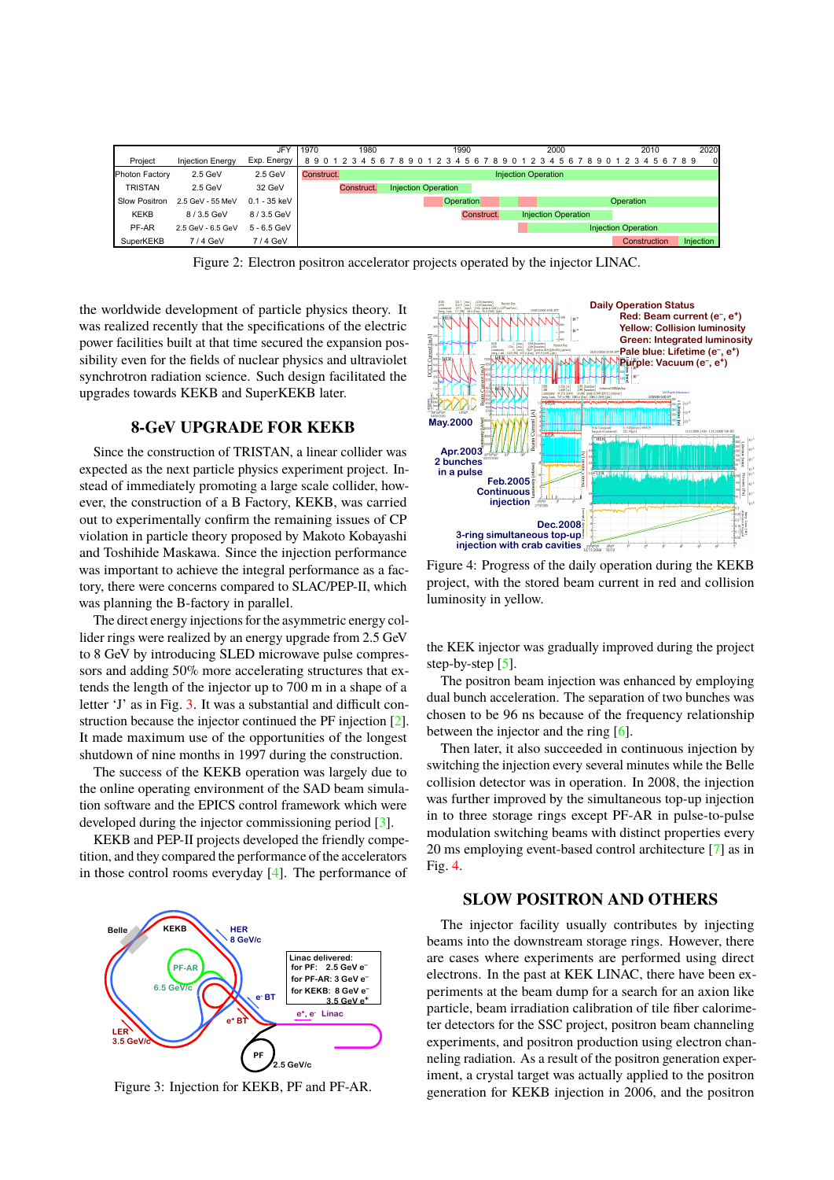<span id="page-1-1"></span>

|                |                         | <b>JFY</b>     | 1970<br>1980 |                            |            |     |  |  |                            | 1990 |  |  |            |  |    |  | 2000 |    |  |                            |  |  |                            | 2010 |  |  |  |              | 2020 |  |              |
|----------------|-------------------------|----------------|--------------|----------------------------|------------|-----|--|--|----------------------------|------|--|--|------------|--|----|--|------|----|--|----------------------------|--|--|----------------------------|------|--|--|--|--------------|------|--|--------------|
| Project        | <b>Injection Energy</b> | Exp. Energy    | 8901         |                            |            | 456 |  |  | 890123                     |      |  |  | 456        |  | -8 |  | 901  | 23 |  | 4567                       |  |  | -8                         |      |  |  |  | 90123456789  |      |  | $\mathbf{0}$ |
| Photon Factory | $2.5$ GeV               | $2.5$ GeV      | Construct.   | <b>Injection Operation</b> |            |     |  |  |                            |      |  |  |            |  |    |  |      |    |  |                            |  |  |                            |      |  |  |  |              |      |  |              |
| TRISTAN        | $2.5$ GeV               | 32 GeV         |              |                            | Construct. |     |  |  | <b>Injection Operation</b> |      |  |  |            |  |    |  |      |    |  |                            |  |  |                            |      |  |  |  |              |      |  |              |
| Slow Positron  | 2.5 GeV - 55 MeV        | $0.1 - 35$ keV |              | Operation                  |            |     |  |  |                            |      |  |  | Operation  |  |    |  |      |    |  |                            |  |  |                            |      |  |  |  |              |      |  |              |
| <b>KEKB</b>    | 8/3.5 GeV               | 8/3.5 GeV      |              |                            |            |     |  |  |                            |      |  |  | Construct. |  |    |  |      |    |  | <b>Injection Operation</b> |  |  |                            |      |  |  |  |              |      |  |              |
| PF-AR          | 2.5 GeV - 6.5 GeV       | $5 - 6.5$ GeV  |              |                            |            |     |  |  |                            |      |  |  |            |  |    |  |      |    |  |                            |  |  | <b>Injection Operation</b> |      |  |  |  |              |      |  |              |
| SuperKEKB      | 7/4 GeV                 | 7/4 GeV        |              |                            |            |     |  |  |                            |      |  |  |            |  |    |  |      |    |  |                            |  |  |                            |      |  |  |  | Construction |      |  | Injection    |

Figure 2: Electron positron accelerator projects operated by the injector LINAC.

the worldwide development of particle physics theory. It was realized recently that the specifications of the electric power facilities built at that time secured the expansion possibility even for the fields of nuclear physics and ultraviolet synchrotron radiation science. Such design facilitated the upgrades towards KEKB and SuperKEKB later.

## **8-GeV UPGRADE FOR KEKB**

Since the construction of TRISTAN, a linear collider was expected as the next particle physics experiment project. Instead of immediately promoting a large scale collider, however, the construction of a B Factory, KEKB, was carried out to experimentally confirm the remaining issues of CP violation in particle theory proposed by Makoto Kobayashi and Toshihide Maskawa. Since the injection performance was important to achieve the integral performance as a factory, there were concerns compared to SLAC/PEP-II, which was planning the B-factory in parallel.

The direct energy injections for the asymmetric energy collider rings were realized by an energy upgrade from 2.5 GeV to 8 GeV by introducing SLED microwave pulse compressors and adding 50% more accelerating structures that extends the length of the injector up to 700 m in a shape of a letter 'J' as in Fig. [3.](#page-1-0) It was a substantial and difficult construction because the injector continued the PF injection [\[2\]](#page-2-2). It made maximum use of the opportunities of the longest shutdown of nine months in 1997 during the construction.

The success of the KEKB operation was largely due to the online operating environment of the SAD beam simulation software and the EPICS control framework which were developed during the injector commissioning period [\[3\]](#page-2-3).

KEKB and PEP-II projects developed the friendly competition, and they compared the performance of the accelerators in those control rooms everyday [\[4\]](#page-3-0). The performance of

<span id="page-1-0"></span>

Figure 3: Injection for KEKB, PF and PF-AR.

<span id="page-1-2"></span>

Figure 4: Progress of the daily operation during the KEKB project, with the stored beam current in red and collision luminosity in yellow.

the KEK injector was gradually improved during the project step-by-step  $\lceil 5 \rceil$ .

The positron beam injection was enhanced by employing dual bunch acceleration. The separation of two bunches was chosen to be 96 ns because of the frequency relationship between the injector and the ring [\[6\]](#page-3-2).

Then later, it also succeeded in continuous injection by switching the injection every several minutes while the Belle collision detector was in operation. In 2008, the injection was further improved by the simultaneous top-up injection in to three storage rings except PF-AR in pulse-to-pulse modulation switching beams with distinct properties every 20 ms employing event-based control architecture [\[7\]](#page-3-3) as in Fig. [4.](#page-1-2)

## **SLOW POSITRON AND OTHERS**

The injector facility usually contributes by injecting beams into the downstream storage rings. However, there are cases where experiments are performed using direct electrons. In the past at KEK LINAC, there have been experiments at the beam dump for a search for an axion like particle, beam irradiation calibration of tile fiber calorimeter detectors for the SSC project, positron beam channeling experiments, and positron production using electron channeling radiation. As a result of the positron generation experiment, a crystal target was actually applied to the positron generation for KEKB injection in 2006, and the positron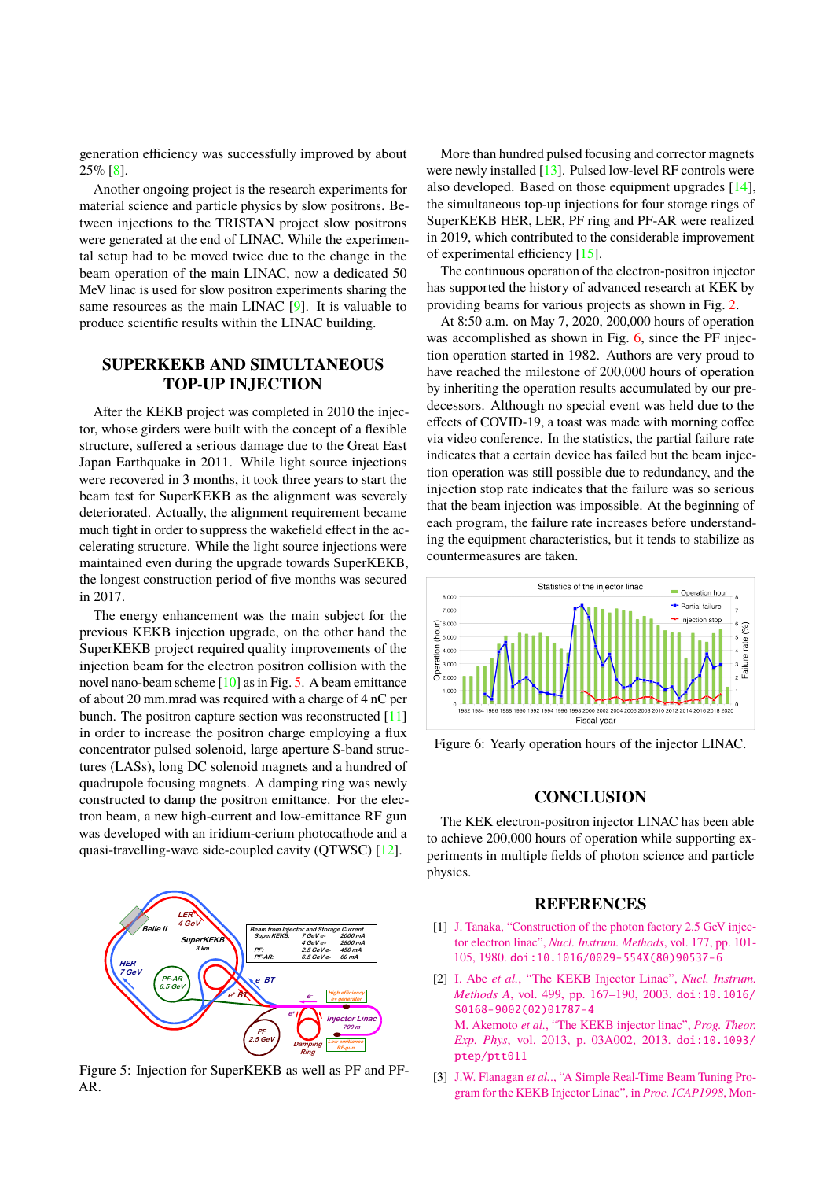generation efficiency was successfully improved by about  $25\%$  [\[8\]](#page-3-4).

Another ongoing project is the research experiments for material science and particle physics by slow positrons. Between injections to the TRISTAN project slow positrons were generated at the end of LINAC. While the experimental setup had to be moved twice due to the change in the beam operation of the main LINAC, now a dedicated 50 MeV linac is used for slow positron experiments sharing the same resources as the main LINAC [\[9\]](#page-3-5). It is valuable to produce scientific results within the LINAC building.

# **SUPERKEKB AND SIMULTANEOUS TOP-UP INJECTION**

After the KEKB project was completed in 2010 the injector, whose girders were built with the concept of a flexible structure, suffered a serious damage due to the Great East Japan Earthquake in 2011. While light source injections were recovered in 3 months, it took three years to start the beam test for SuperKEKB as the alignment was severely deteriorated. Actually, the alignment requirement became much tight in order to suppress the wakefield effect in the accelerating structure. While the light source injections were maintained even during the upgrade towards SuperKEKB, the longest construction period of five months was secured in 2017.

The energy enhancement was the main subject for the previous KEKB injection upgrade, on the other hand the SuperKEKB project required quality improvements of the injection beam for the electron positron collision with the novel nano-beam scheme [\[10\]](#page-3-6) as in Fig. [5.](#page-2-0) A beam emittance of about 20 mm.mrad was required with a charge of 4 nC per bunch. The positron capture section was reconstructed [\[11\]](#page-3-7) in order to increase the positron charge employing a flux concentrator pulsed solenoid, large aperture S-band structures (LASs), long DC solenoid magnets and a hundred of quadrupole focusing magnets. A damping ring was newly constructed to damp the positron emittance. For the electron beam, a new high-current and low-emittance RF gun was developed with an iridium-cerium photocathode and a quasi-travelling-wave side-coupled cavity (QTWSC) [\[12\]](#page-3-8).

<span id="page-2-0"></span>

Figure 5: Injection for SuperKEKB as well as PF and PF-AR.

More than hundred pulsed focusing and corrector magnets were newly installed [\[13\]](#page-3-9). Pulsed low-level RF controls were also developed. Based on those equipment upgrades [\[14\]](#page-3-10), the simultaneous top-up injections for four storage rings of SuperKEKB HER, LER, PF ring and PF-AR were realized in 2019, which contributed to the considerable improvement of experimental efficiency [\[15\]](#page-3-11).

The continuous operation of the electron-positron injector has supported the history of advanced research at KEK by providing beams for various projects as shown in Fig. [2.](#page-1-1)

At 8:50 a.m. on May 7, 2020, 200,000 hours of operation was accomplished as shown in Fig. [6,](#page-2-4) since the PF injection operation started in 1982. Authors are very proud to have reached the milestone of 200,000 hours of operation by inheriting the operation results accumulated by our predecessors. Although no special event was held due to the effects of COVID-19, a toast was made with morning coffee via video conference. In the statistics, the partial failure rate indicates that a certain device has failed but the beam injection operation was still possible due to redundancy, and the injection stop rate indicates that the failure was so serious that the beam injection was impossible. At the beginning of each program, the failure rate increases before understanding the equipment characteristics, but it tends to stabilize as countermeasures are taken.

<span id="page-2-4"></span>

Figure 6: Yearly operation hours of the injector LINAC.

## **CONCLUSION**

The KEK electron-positron injector LINAC has been able to achieve 200,000 hours of operation while supporting experiments in multiple fields of photon science and particle physics.

#### **REFERENCES**

- <span id="page-2-1"></span>[1] [J. Tanaka, "Construction of the photon factory 2.5 GeV injec](https://doi.org/10.1016/0029-554X(80)90537-6)tor electron linac", *[Nucl. Instrum. Methods](https://doi.org/10.1016/0029-554X(80)90537-6)*, vol. 177, pp. 101- 105, 1980. [doi:10.1016/0029-554X\(80\)90537-6](https://doi.org/10.1016/0029-554X(80)90537-6)
- <span id="page-2-2"></span>[2] I. Abe *et al.*[, "The KEKB Injector Linac",](https://doi.org/10.1016/S0168-9002(02)01787-4) *Nucl. Instrum. Methods A*[, vol. 499, pp. 167–190, 2003.](https://doi.org/10.1016/S0168-9002(02)01787-4) [doi:10.1016/](doi:10.1016/S0168-9002(02)01787-4) [S0168-9002\(02\)01787-4](https://doi.org/10.1016/S0168-9002(02)01787-4) M. Akemoto *et al.*[, "The KEKB injector linac",](https://doi.org/10.1093/ptep/ptt011) *Prog. Theor. Exp. Phys*[, vol. 2013, p. 03A002, 2013.](https://doi.org/10.1093/ptep/ptt011) [doi:10.1093/](doi:10.1093/ptep/ptt011) [ptep/ptt011](https://doi.org/10.1093/ptep/ptt011)
- <span id="page-2-3"></span>[3] J.W. Flanagan *et al.*[., "A Simple Real-Time Beam Tuning Pro](https://www.slac.stanford.edu/xorg/icap98/papers/F-Tu09.pdf)[gram for the KEKB Injector Linac", in](https://www.slac.stanford.edu/xorg/icap98/papers/F-Tu09.pdf) *Proc. ICAP1998*, Mon-